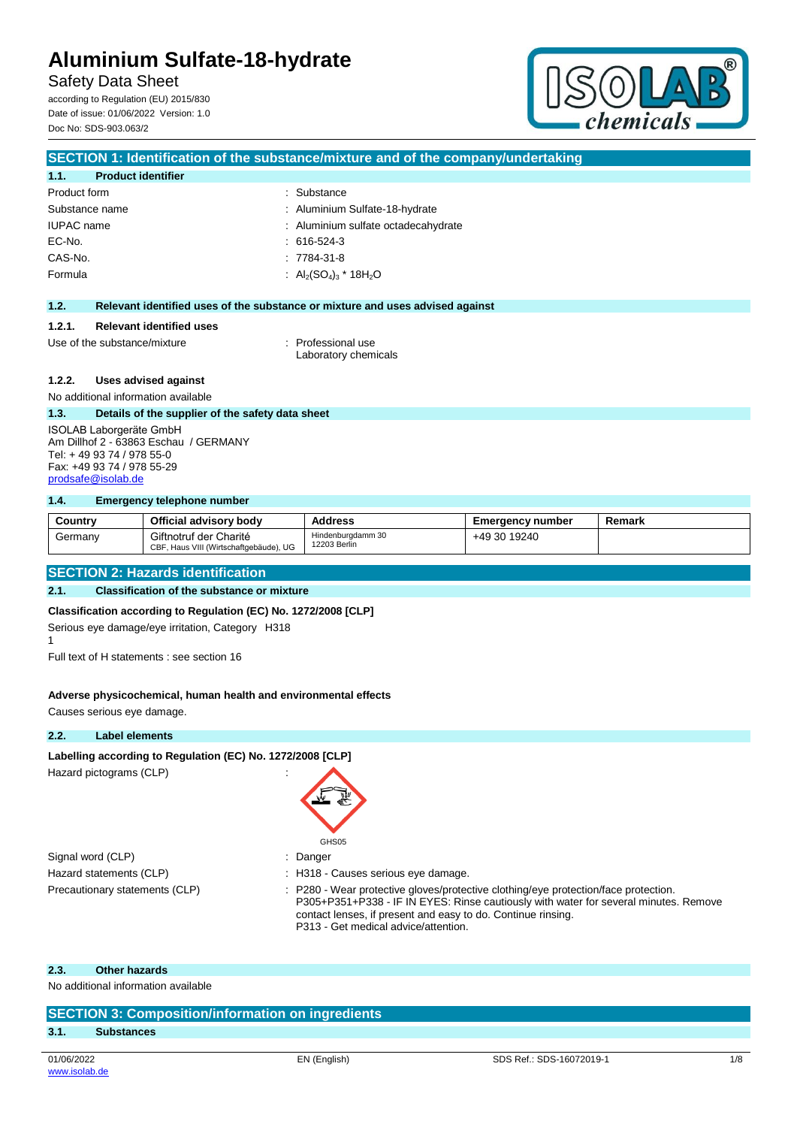Safety Data Sheet

according to Regulation (EU) 2015/830 Date of issue: 01/06/2022 Version: 1.0 Doc No: SDS-903.063/2



## **SECTION 1: Identification of the substance/mixture and of the company/undertaking 1.1. Product identifier** Product form  $\qquad \qquad$ : Substance Substance name : Aluminium Sulfate-18-hydrate IUPAC name  $\qquad \qquad$ : Aluminium sulfate octadecahydrate EC-No. : 616-524-3 CAS-No. : 7784-31-8 Formula :  $Al_2(SO_4)_3$  \* 18H<sub>2</sub>O **1.2. Relevant identified uses of the substance or mixture and uses advised against 1.2.1. Relevant identified uses**

Use of the substance/mixture in the substance/mixture in the substance in the set of the substance in the substance in the substance in the substance in the substance in the substance in the substance in the substance in t Laboratory chemicals

### **1.2.2. Uses advised against**

No additional information available

#### **1.3. Details of the supplier of the safety data sheet**

ISOLAB Laborgeräte GmbH Am Dillhof 2 - 63863 Eschau / GERMANY Tel: + 49 93 74 / 978 55-0 Fax: +49 93 74 / 978 55-29 [prodsafe@isolab.de](mailto:prodsafe@isolab.de)

#### **1.4. Emergency telephone number**

| Country | Official advisory body                                           | <b>Address</b>                    | <b>Emergency number</b> | Remark |
|---------|------------------------------------------------------------------|-----------------------------------|-------------------------|--------|
| Germany | Giftnotruf der Charité<br>CBF, Haus VIII (Wirtschaftgebäude), UG | Hindenburgdamm 30<br>12203 Berlin | +49 30 19240            |        |

#### **SECTION 2: Hazards identification**

#### **2.1. Classification of the substance or mixture**

#### **Classification according to Regulation (EC) No. 1272/2008 [CLP]**

Serious eye damage/eye irritation, Category H318

1

Full text of H statements : see section 16

#### **Adverse physicochemical, human health and environmental effects**

Causes serious eye damage.

#### **2.2. Label elements**

#### **Labelling according to Regulation (EC) No. 1272/2008 <b>[CLP]**

Hazard pictograms (CLP) :



Signal word (CLP) : Danger

- 
- Hazard statements (CLP) : H318 Causes serious eye damage.
- Precautionary statements (CLP) : P280 Wear protective gloves/protective clothing/eye protection/face protection. P305+P351+P338 - IF IN EYES: Rinse cautiously with water for several minutes. Remove contact lenses, if present and easy to do. Continue rinsing. P313 - Get medical advice/attention.

#### **2.3. Other hazards**

No additional information available

## **SECTION 3: Composition/information on ingredients**

## **3.1. Substances**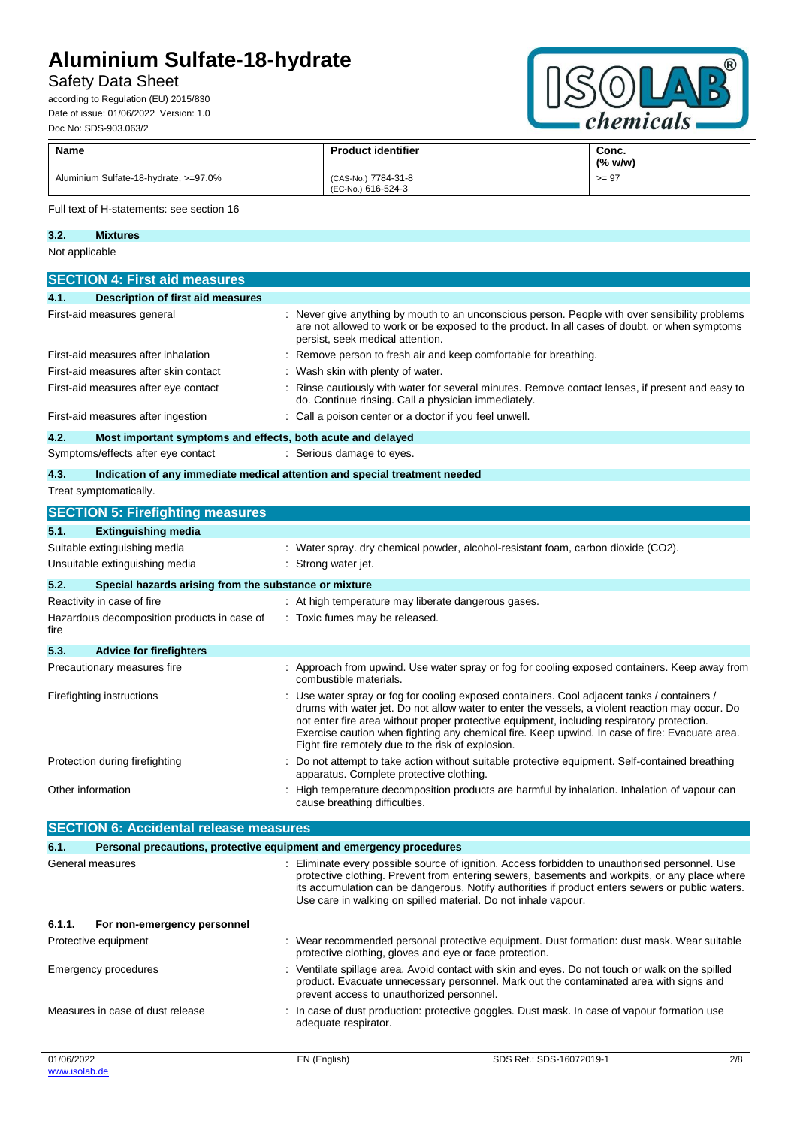## Safety Data Sheet

according to Regulation (EU) 2015/830 Date of issue: 01/06/2022 Version: 1.0 Doc No: SDS-903.063/2



| <b>Name</b>                           | <b>Product identifier</b>                 | Conc.<br>(% w/w) |
|---------------------------------------|-------------------------------------------|------------------|
| Aluminium Sulfate-18-hydrate, >=97.0% | (CAS-No.) 7784-31-8<br>(EC-No.) 616-524-3 | $>= 97$          |

### Full text of H-statements: see section 16

**3.2. Mixtures** Not applicable

| <b>NOT applicable</b> |                                                                     |                                                                                                                                                                                                                                                                                                                                                                                                                                                   |
|-----------------------|---------------------------------------------------------------------|---------------------------------------------------------------------------------------------------------------------------------------------------------------------------------------------------------------------------------------------------------------------------------------------------------------------------------------------------------------------------------------------------------------------------------------------------|
|                       | <b>SECTION 4: First aid measures</b>                                |                                                                                                                                                                                                                                                                                                                                                                                                                                                   |
| 4.1.                  | <b>Description of first aid measures</b>                            |                                                                                                                                                                                                                                                                                                                                                                                                                                                   |
|                       | First-aid measures general                                          | Never give anything by mouth to an unconscious person. People with over sensibility problems<br>are not allowed to work or be exposed to the product. In all cases of doubt, or when symptoms<br>persist, seek medical attention.                                                                                                                                                                                                                 |
|                       | First-aid measures after inhalation                                 | Remove person to fresh air and keep comfortable for breathing.                                                                                                                                                                                                                                                                                                                                                                                    |
|                       | First-aid measures after skin contact                               | Wash skin with plenty of water.                                                                                                                                                                                                                                                                                                                                                                                                                   |
|                       | First-aid measures after eye contact                                | Rinse cautiously with water for several minutes. Remove contact lenses, if present and easy to<br>do. Continue rinsing. Call a physician immediately.                                                                                                                                                                                                                                                                                             |
|                       | First-aid measures after ingestion                                  | : Call a poison center or a doctor if you feel unwell.                                                                                                                                                                                                                                                                                                                                                                                            |
| 4.2.                  | Most important symptoms and effects, both acute and delayed         |                                                                                                                                                                                                                                                                                                                                                                                                                                                   |
|                       | Symptoms/effects after eye contact                                  | : Serious damage to eyes.                                                                                                                                                                                                                                                                                                                                                                                                                         |
| 4.3.                  |                                                                     | Indication of any immediate medical attention and special treatment needed                                                                                                                                                                                                                                                                                                                                                                        |
|                       | Treat symptomatically.                                              |                                                                                                                                                                                                                                                                                                                                                                                                                                                   |
|                       | <b>SECTION 5: Firefighting measures</b>                             |                                                                                                                                                                                                                                                                                                                                                                                                                                                   |
| 5.1.                  | <b>Extinguishing media</b>                                          |                                                                                                                                                                                                                                                                                                                                                                                                                                                   |
|                       | Suitable extinguishing media                                        | Water spray. dry chemical powder, alcohol-resistant foam, carbon dioxide (CO2).                                                                                                                                                                                                                                                                                                                                                                   |
|                       | Unsuitable extinguishing media                                      | Strong water jet.                                                                                                                                                                                                                                                                                                                                                                                                                                 |
| 5.2.                  | Special hazards arising from the substance or mixture               |                                                                                                                                                                                                                                                                                                                                                                                                                                                   |
|                       | Reactivity in case of fire                                          | : At high temperature may liberate dangerous gases.                                                                                                                                                                                                                                                                                                                                                                                               |
| fire                  | Hazardous decomposition products in case of                         | : Toxic fumes may be released.                                                                                                                                                                                                                                                                                                                                                                                                                    |
| 5.3.                  | <b>Advice for firefighters</b>                                      |                                                                                                                                                                                                                                                                                                                                                                                                                                                   |
|                       | Precautionary measures fire                                         | : Approach from upwind. Use water spray or fog for cooling exposed containers. Keep away from<br>combustible materials.                                                                                                                                                                                                                                                                                                                           |
|                       | Firefighting instructions                                           | Use water spray or fog for cooling exposed containers. Cool adjacent tanks / containers /<br>drums with water jet. Do not allow water to enter the vessels, a violent reaction may occur. Do<br>not enter fire area without proper protective equipment, including respiratory protection.<br>Exercise caution when fighting any chemical fire. Keep upwind. In case of fire: Evacuate area.<br>Fight fire remotely due to the risk of explosion. |
|                       | Protection during firefighting                                      | Do not attempt to take action without suitable protective equipment. Self-contained breathing<br>apparatus. Complete protective clothing.                                                                                                                                                                                                                                                                                                         |
| Other information     |                                                                     | High temperature decomposition products are harmful by inhalation. Inhalation of vapour can<br>cause breathing difficulties.                                                                                                                                                                                                                                                                                                                      |
|                       | <b>SECTION 6: Accidental release measures</b>                       |                                                                                                                                                                                                                                                                                                                                                                                                                                                   |
| 6.1.                  | Personal precautions, protective equipment and emergency procedures |                                                                                                                                                                                                                                                                                                                                                                                                                                                   |
| General measures      |                                                                     | Eliminate every possible source of ignition. Access forbidden to unauthorised personnel. Use<br>protective clothing. Prevent from entering sewers, basements and workpits, or any place where<br>its accumulation can be dangerous. Notify authorities if product enters sewers or public waters.<br>Use care in walking on spilled material. Do not inhale vapour.                                                                               |
| 6.1.1.                | For non-emergency personnel                                         |                                                                                                                                                                                                                                                                                                                                                                                                                                                   |
|                       | Protective equipment                                                | Wear recommended personal protective equipment. Dust formation: dust mask. Wear suitable<br>protective clothing, gloves and eye or face protection.                                                                                                                                                                                                                                                                                               |
|                       | <b>Emergency procedures</b>                                         | : Ventilate spillage area. Avoid contact with skin and eyes. Do not touch or walk on the spilled<br>product. Evacuate unnecessary personnel. Mark out the contaminated area with signs and<br>prevent access to unauthorized personnel.                                                                                                                                                                                                           |
|                       | Measures in case of dust release                                    | In case of dust production: protective goggles. Dust mask. In case of vapour formation use<br>adequate respirator.                                                                                                                                                                                                                                                                                                                                |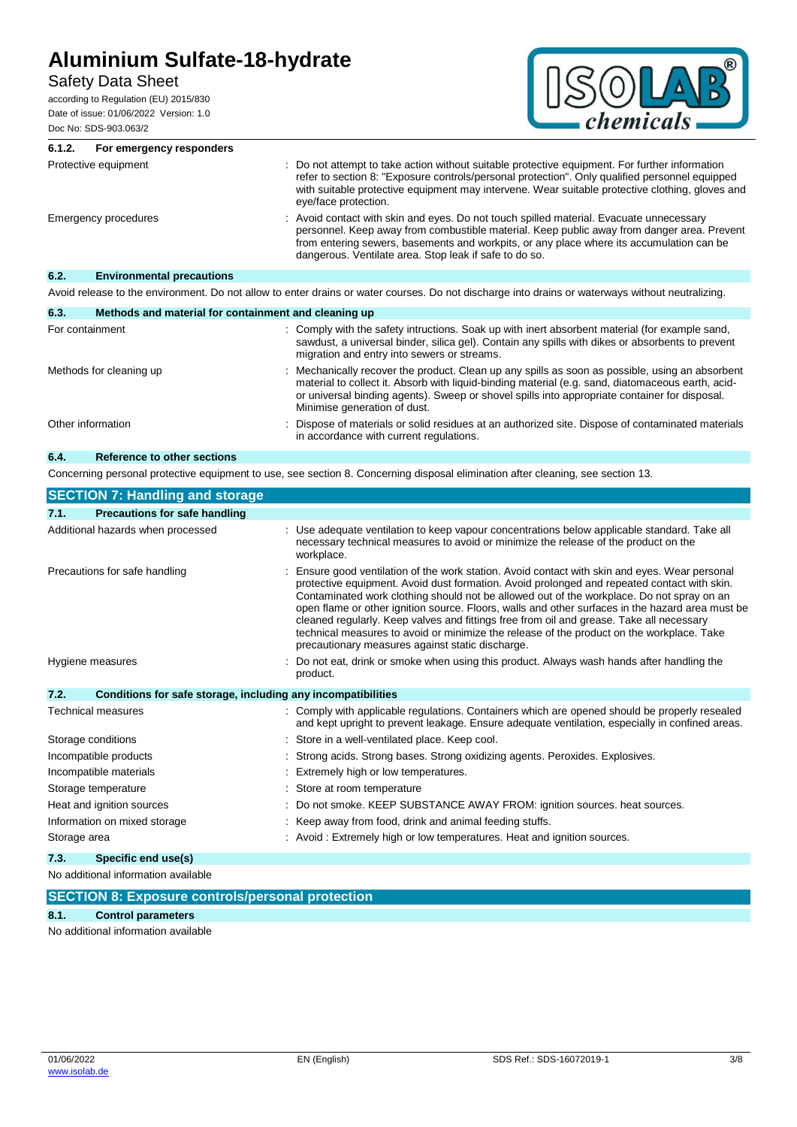## Safety Data Sheet

according to Regulation (EU) 2015/830 Date of issue: 01/06/2022 Version: 1.0 Doc No: SDS-903.063/2



| For emergency responders<br>6.1.2.       |                                                                                                                                                                                                                                                                                                                                             |
|------------------------------------------|---------------------------------------------------------------------------------------------------------------------------------------------------------------------------------------------------------------------------------------------------------------------------------------------------------------------------------------------|
| Protective equipment                     | : Do not attempt to take action without suitable protective equipment. For further information<br>refer to section 8: "Exposure controls/personal protection". Only qualified personnel equipped<br>with suitable protective equipment may intervene. Wear suitable protective clothing, gloves and<br>eye/face protection.                 |
| Emergency procedures                     | : Avoid contact with skin and eyes. Do not touch spilled material. Evacuate unnecessary<br>personnel. Keep away from combustible material. Keep public away from danger area. Prevent<br>from entering sewers, basements and workpits, or any place where its accumulation can be<br>dangerous. Ventilate area. Stop leak if safe to do so. |
| 6.2.<br><b>Environmental precautions</b> |                                                                                                                                                                                                                                                                                                                                             |
|                                          | Avoid relegge to the environment. De not allow to enter draine or water courses. De not discharge into draine or waterways without noutralizing                                                                                                                                                                                             |

Avoid release to the environment. Do not allow to enter drains or water courses. Do not discharge into drains or waterways without neutralizing.

| 6.3.              | Methods and material for containment and cleaning up |   |                                                                                                                                                                                                                                                                                                                                       |
|-------------------|------------------------------------------------------|---|---------------------------------------------------------------------------------------------------------------------------------------------------------------------------------------------------------------------------------------------------------------------------------------------------------------------------------------|
| For containment   |                                                      |   | : Comply with the safety intructions. Soak up with inert absorbent material (for example sand,<br>sawdust, a universal binder, silica gel). Contain any spills with dikes or absorbents to prevent<br>migration and entry into sewers or streams.                                                                                     |
|                   | Methods for cleaning up                              |   | : Mechanically recover the product. Clean up any spills as soon as possible, using an absorbent<br>material to collect it. Absorb with liquid-binding material (e.g. sand, diatomaceous earth, acid-<br>or universal binding agents). Sweep or shovel spills into appropriate container for disposal.<br>Minimise generation of dust. |
| Other information |                                                      | ÷ | Dispose of materials or solid residues at an authorized site. Dispose of contaminated materials<br>in accordance with current regulations.                                                                                                                                                                                            |
| 6.4.              | <b>Reference to other sections</b>                   |   |                                                                                                                                                                                                                                                                                                                                       |

Concerning personal protective equipment to use, see section 8. Concerning disposal elimination after cleaning, see section 13.

| <b>SECTION 7: Handling and storage</b>                               |                                                                                                                                                                                                                                                                                                                                                                                                                                                                                                                                                                                                                                           |  |
|----------------------------------------------------------------------|-------------------------------------------------------------------------------------------------------------------------------------------------------------------------------------------------------------------------------------------------------------------------------------------------------------------------------------------------------------------------------------------------------------------------------------------------------------------------------------------------------------------------------------------------------------------------------------------------------------------------------------------|--|
| <b>Precautions for safe handling</b><br>7.1.                         |                                                                                                                                                                                                                                                                                                                                                                                                                                                                                                                                                                                                                                           |  |
| Additional hazards when processed                                    | : Use adequate ventilation to keep vapour concentrations below applicable standard. Take all<br>necessary technical measures to avoid or minimize the release of the product on the<br>workplace.                                                                                                                                                                                                                                                                                                                                                                                                                                         |  |
| Precautions for safe handling                                        | Ensure good ventilation of the work station. Avoid contact with skin and eyes. Wear personal<br>protective equipment. Avoid dust formation. Avoid prolonged and repeated contact with skin.<br>Contaminated work clothing should not be allowed out of the workplace. Do not spray on an<br>open flame or other ignition source. Floors, walls and other surfaces in the hazard area must be<br>cleaned regularly. Keep valves and fittings free from oil and grease. Take all necessary<br>technical measures to avoid or minimize the release of the product on the workplace. Take<br>precautionary measures against static discharge. |  |
| Hygiene measures                                                     | Do not eat, drink or smoke when using this product. Always wash hands after handling the<br>product.                                                                                                                                                                                                                                                                                                                                                                                                                                                                                                                                      |  |
| 7.2.<br>Conditions for safe storage, including any incompatibilities |                                                                                                                                                                                                                                                                                                                                                                                                                                                                                                                                                                                                                                           |  |
| <b>Technical measures</b>                                            | : Comply with applicable regulations. Containers which are opened should be properly resealed<br>and kept upright to prevent leakage. Ensure adequate ventilation, especially in confined areas.                                                                                                                                                                                                                                                                                                                                                                                                                                          |  |
| Storage conditions                                                   | Store in a well-ventilated place. Keep cool.                                                                                                                                                                                                                                                                                                                                                                                                                                                                                                                                                                                              |  |
| Incompatible products                                                | Strong acids. Strong bases. Strong oxidizing agents. Peroxides. Explosives.                                                                                                                                                                                                                                                                                                                                                                                                                                                                                                                                                               |  |
| Incompatible materials                                               | Extremely high or low temperatures.                                                                                                                                                                                                                                                                                                                                                                                                                                                                                                                                                                                                       |  |
| Storage temperature                                                  | Store at room temperature                                                                                                                                                                                                                                                                                                                                                                                                                                                                                                                                                                                                                 |  |
| Heat and ignition sources                                            | Do not smoke. KEEP SUBSTANCE AWAY FROM: ignition sources. heat sources.                                                                                                                                                                                                                                                                                                                                                                                                                                                                                                                                                                   |  |
| Information on mixed storage                                         | Keep away from food, drink and animal feeding stuffs.                                                                                                                                                                                                                                                                                                                                                                                                                                                                                                                                                                                     |  |
| Storage area                                                         | : Avoid: Extremely high or low temperatures. Heat and ignition sources.                                                                                                                                                                                                                                                                                                                                                                                                                                                                                                                                                                   |  |
| Specific end use(s)<br>7.3.                                          |                                                                                                                                                                                                                                                                                                                                                                                                                                                                                                                                                                                                                                           |  |
|                                                                      |                                                                                                                                                                                                                                                                                                                                                                                                                                                                                                                                                                                                                                           |  |

No additional information available

| <b>SECTION 8: Exposure controls/personal protection</b> |  |
|---------------------------------------------------------|--|
|                                                         |  |

#### **8.1. Control parameters**

No additional information available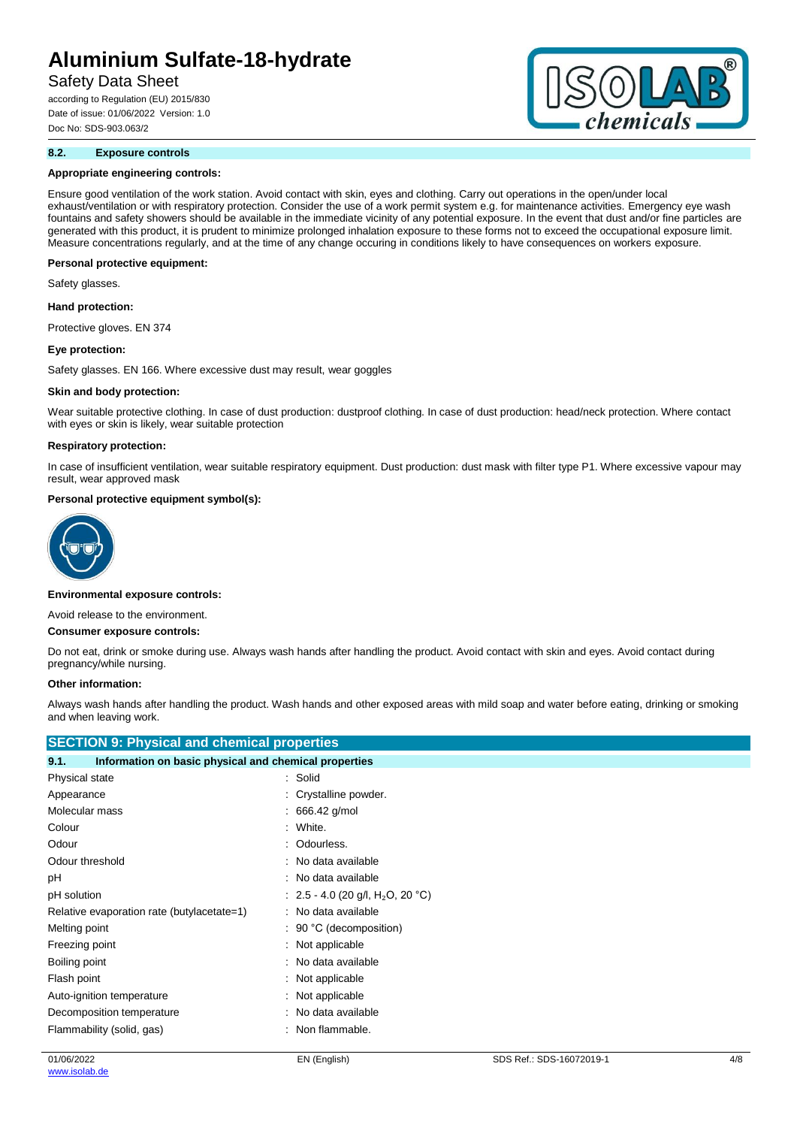### Safety Data Sheet

according to Regulation (EU) 2015/830 Date of issue: 01/06/2022 Version: 1.0 Doc No: SDS-903.063/2

#### **8.2. Exposure controls**

#### **Appropriate engineering controls:**

Ensure good ventilation of the work station. Avoid contact with skin, eyes and clothing. Carry out operations in the open/under local exhaust/ventilation or with respiratory protection. Consider the use of a work permit system e.g. for maintenance activities. Emergency eye wash fountains and safety showers should be available in the immediate vicinity of any potential exposure. In the event that dust and/or fine particles are generated with this product, it is prudent to minimize prolonged inhalation exposure to these forms not to exceed the occupational exposure limit. Measure concentrations regularly, and at the time of any change occuring in conditions likely to have consequences on workers exposure.

#### **Personal protective equipment:**

Safety glasses.

**Hand protection:**

Protective gloves. EN 374

**Eye protection:**

Safety glasses. EN 166. Where excessive dust may result, wear goggles

#### **Skin and body protection:**

Wear suitable protective clothing. In case of dust production: dustproof clothing. In case of dust production: head/neck protection. Where contact with eyes or skin is likely, wear suitable protection

#### **Respiratory protection:**

In case of insufficient ventilation, wear suitable respiratory equipment. Dust production: dust mask with filter type P1. Where excessive vapour may result, wear approved mask

#### **Personal protective equipment symbol(s):**



#### **Environmental exposure controls:**

Avoid release to the environment.

#### **Consumer exposure controls:**

Do not eat, drink or smoke during use. Always wash hands after handling the product. Avoid contact with skin and eyes. Avoid contact during pregnancy/while nursing.

#### **Other information:**

Always wash hands after handling the product. Wash hands and other exposed areas with mild soap and water before eating, drinking or smoking and when leaving work.

| <b>SECTION 9: Physical and chemical properties</b>    |  |  |  |  |
|-------------------------------------------------------|--|--|--|--|
| Information on basic physical and chemical properties |  |  |  |  |
| : Solid                                               |  |  |  |  |
| : Crystalline powder.                                 |  |  |  |  |
| $: 666.42$ g/mol                                      |  |  |  |  |
| : White.                                              |  |  |  |  |
| : Odourless.                                          |  |  |  |  |
| : No data available                                   |  |  |  |  |
| : No data available                                   |  |  |  |  |
| : 2.5 - 4.0 (20 g/l, H <sub>2</sub> O, 20 °C)         |  |  |  |  |
| : No data available                                   |  |  |  |  |
| $\therefore$ 90 °C (decomposition)                    |  |  |  |  |
| : Not applicable                                      |  |  |  |  |
| : No data available                                   |  |  |  |  |
| : Not applicable                                      |  |  |  |  |
| : Not applicable                                      |  |  |  |  |
| : No data available                                   |  |  |  |  |
| : Non flammable.                                      |  |  |  |  |
|                                                       |  |  |  |  |

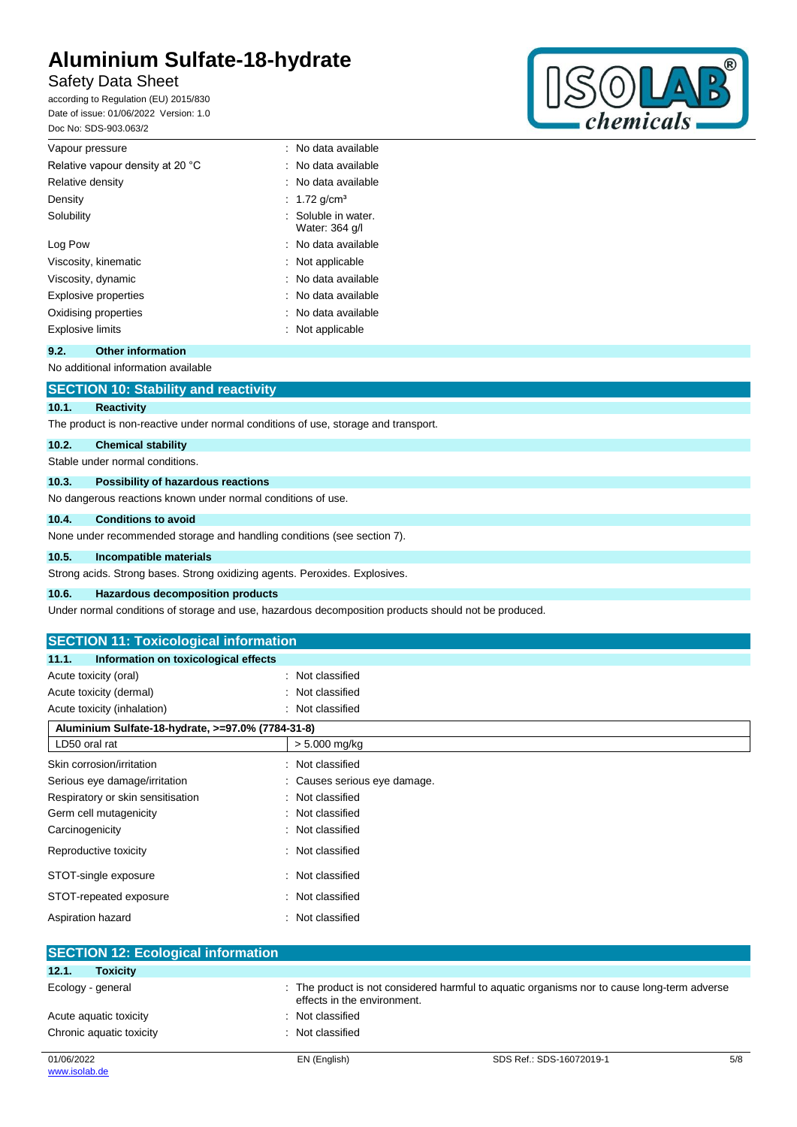## Safety Data Sheet

according to Regulation (EU) 2015/830 Date of issue: 01/06/2022 Version: 1.0 Doc No: SDS-903.063/2



| Vapour pressure                  | : No data available                              |
|----------------------------------|--------------------------------------------------|
| Relative vapour density at 20 °C | : No data available                              |
| Relative density                 | No data available                                |
| Density                          | 1.72 $q/cm3$                                     |
| Solubility                       | $\therefore$ Soluble in water.<br>Water: 364 g/l |
| Log Pow                          | : No data available                              |
| Viscosity, kinematic             | : Not applicable                                 |
| Viscosity, dynamic               | : No data available                              |
| <b>Explosive properties</b>      | : No data available                              |
| Oxidising properties             | : No data available                              |
| <b>Explosive limits</b>          | Not applicable                                   |

### **9.2. Other information**

No additional information available

|       | <b>SECTION 10: Stability and reactivity</b>                                        |  |  |  |  |
|-------|------------------------------------------------------------------------------------|--|--|--|--|
| 10.1. | <b>Reactivity</b>                                                                  |  |  |  |  |
|       | The product is non-reactive under normal conditions of use, storage and transport. |  |  |  |  |
| 10.2. | <b>Chemical stability</b>                                                          |  |  |  |  |
|       | Stable under normal conditions.                                                    |  |  |  |  |
| 10.3. | Possibility of hazardous reactions                                                 |  |  |  |  |
|       | No dangerous reactions known under normal conditions of use.                       |  |  |  |  |
| 10.4. | <b>Conditions to avoid</b>                                                         |  |  |  |  |
|       | None under recommended storage and handling conditions (see section 7).            |  |  |  |  |

### **10.5. Incompatible materials**

Strong acids. Strong bases. Strong oxidizing agents. Peroxides. Explosives.

#### **10.6. Hazardous decomposition products**

Under normal conditions of storage and use, hazardous decomposition products should not be produced.

| <b>SECTION 11: Toxicological information</b>      |                              |  |  |  |
|---------------------------------------------------|------------------------------|--|--|--|
| Information on toxicological effects<br>11.1.     |                              |  |  |  |
| Acute toxicity (oral)                             | : Not classified             |  |  |  |
| Acute toxicity (dermal)                           | : Not classified             |  |  |  |
| Acute toxicity (inhalation)                       | Not classified<br>÷          |  |  |  |
| Aluminium Sulfate-18-hydrate, >=97.0% (7784-31-8) |                              |  |  |  |
| LD50 oral rat                                     | $> 5.000$ mg/kg              |  |  |  |
| Skin corrosion/irritation                         | : Not classified             |  |  |  |
| Serious eye damage/irritation                     | : Causes serious eye damage. |  |  |  |
| Respiratory or skin sensitisation                 | : Not classified             |  |  |  |
| Germ cell mutagenicity                            | : Not classified             |  |  |  |
| Carcinogenicity                                   | : Not classified             |  |  |  |
| Reproductive toxicity                             | Not classified<br>÷          |  |  |  |
| STOT-single exposure                              | Not classified<br>÷          |  |  |  |
| STOT-repeated exposure                            | : Not classified             |  |  |  |
| Aspiration hazard                                 | Not classified<br>÷          |  |  |  |

| <b>SECTION 12: Ecological information</b> |                             |                                                                                             |     |
|-------------------------------------------|-----------------------------|---------------------------------------------------------------------------------------------|-----|
| 12.1.<br><b>Toxicity</b>                  |                             |                                                                                             |     |
| Ecology - general                         | effects in the environment. | : The product is not considered harmful to aquatic organisms nor to cause long-term adverse |     |
| Acute aquatic toxicity                    | : Not classified            |                                                                                             |     |
| Chronic aquatic toxicity                  | : Not classified            |                                                                                             |     |
| 01/06/2022                                | EN (English)                | SDS Ref.: SDS-16072019-1                                                                    | 5/8 |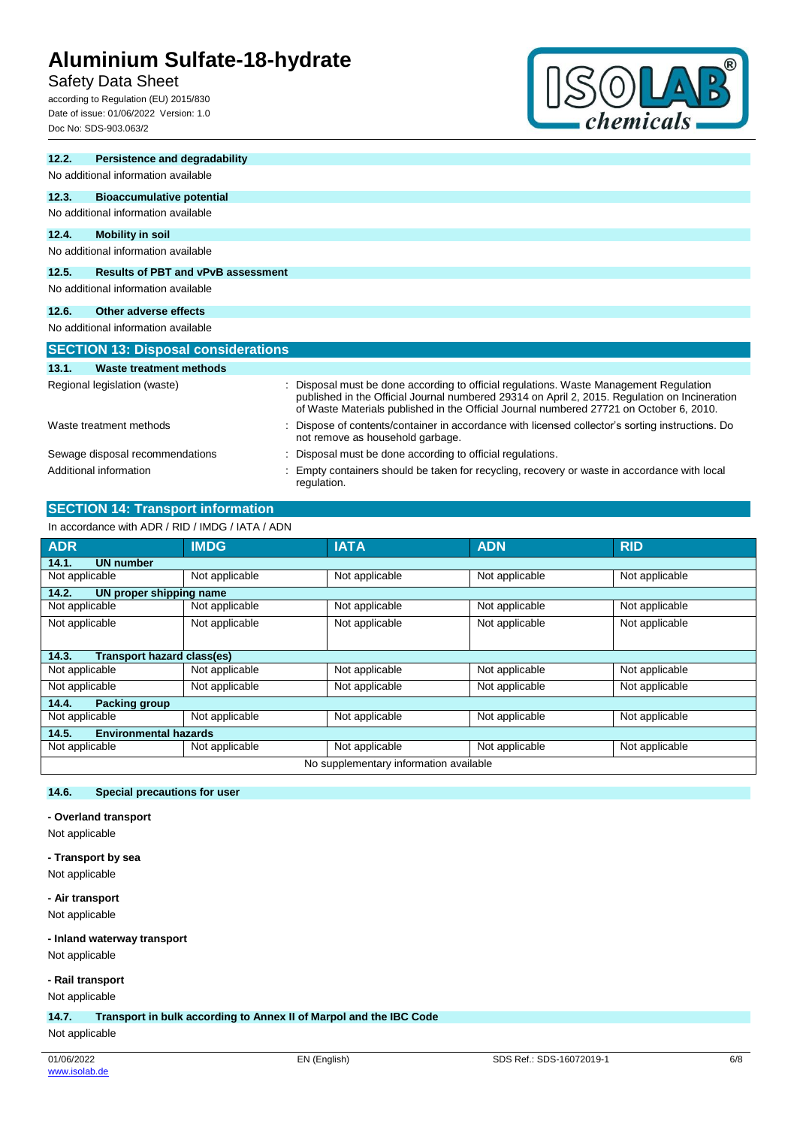### Safety Data Sheet

according to Regulation (EU) 2015/830 Date of issue: 01/06/2022 Version: 1.0 Doc No: SDS-903.063/2



| 12.2.                   | Persistence and degradability              |                                                                                                                                                                                                                                                                                  |
|-------------------------|--------------------------------------------|----------------------------------------------------------------------------------------------------------------------------------------------------------------------------------------------------------------------------------------------------------------------------------|
|                         | No additional information available        |                                                                                                                                                                                                                                                                                  |
| 12.3.                   | <b>Bioaccumulative potential</b>           |                                                                                                                                                                                                                                                                                  |
|                         | No additional information available        |                                                                                                                                                                                                                                                                                  |
| 12.4.                   | <b>Mobility in soil</b>                    |                                                                                                                                                                                                                                                                                  |
|                         | No additional information available        |                                                                                                                                                                                                                                                                                  |
| 12.5.                   | <b>Results of PBT and vPvB assessment</b>  |                                                                                                                                                                                                                                                                                  |
|                         | No additional information available        |                                                                                                                                                                                                                                                                                  |
| 12.6.                   | Other adverse effects                      |                                                                                                                                                                                                                                                                                  |
|                         | No additional information available        |                                                                                                                                                                                                                                                                                  |
|                         | <b>SECTION 13: Disposal considerations</b> |                                                                                                                                                                                                                                                                                  |
| 13.1.                   | Waste treatment methods                    |                                                                                                                                                                                                                                                                                  |
|                         | Regional legislation (waste)               | Disposal must be done according to official regulations. Waste Management Regulation<br>published in the Official Journal numbered 29314 on April 2, 2015. Regulation on Incineration<br>of Waste Materials published in the Official Journal numbered 27721 on October 6, 2010. |
| Waste treatment methods |                                            | Dispose of contents/container in accordance with licensed collector's sorting instructions. Do<br>not remove as household garbage.                                                                                                                                               |
|                         | Sewage disposal recommendations            | Disposal must be done according to official regulations.                                                                                                                                                                                                                         |
| Additional information  |                                            | Empty containers should be taken for recycling, recovery or waste in accordance with local<br>regulation.                                                                                                                                                                        |

## **SECTION 14: Transport information**

In accordance with ADR / RID / IMDG / IATA / ADN

| <b>ADR</b>                            | <b>IMDG</b>    | <b>IATA</b>                            | <b>ADN</b>     | <b>RID</b>     |
|---------------------------------------|----------------|----------------------------------------|----------------|----------------|
| 14.1.<br><b>UN number</b>             |                |                                        |                |                |
| Not applicable                        | Not applicable | Not applicable                         | Not applicable | Not applicable |
| UN proper shipping name<br>14.2.      |                |                                        |                |                |
| Not applicable                        | Not applicable | Not applicable                         | Not applicable | Not applicable |
| Not applicable                        | Not applicable | Not applicable                         | Not applicable | Not applicable |
|                                       |                |                                        |                |                |
| Transport hazard class(es)<br>14.3.   |                |                                        |                |                |
| Not applicable                        | Not applicable | Not applicable                         | Not applicable | Not applicable |
| Not applicable                        | Not applicable | Not applicable                         | Not applicable | Not applicable |
| 14.4.<br><b>Packing group</b>         |                |                                        |                |                |
| Not applicable                        | Not applicable | Not applicable                         | Not applicable | Not applicable |
| <b>Environmental hazards</b><br>14.5. |                |                                        |                |                |
| Not applicable                        | Not applicable | Not applicable                         | Not applicable | Not applicable |
|                                       |                | No supplementary information available |                |                |

#### **14.6. Special precautions for user**

#### **- Overland transport**

Not applicable

#### **- Transport by sea**

Not applicable

#### **- Air transport**

Not applicable

#### **- Inland waterway transport**

Not applicable

#### **- Rail transport**

Not applicable

**14.7. Transport in bulk according to Annex II of Marpol and the IBC Code**

#### Not applicable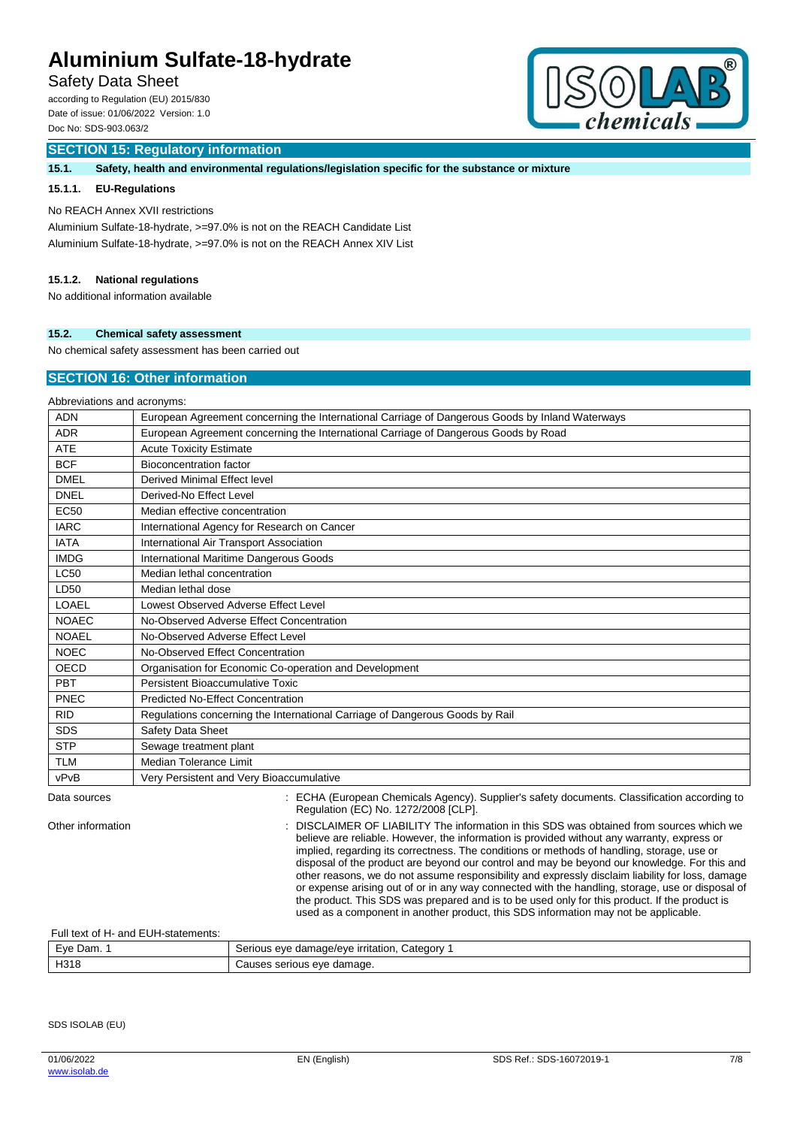## Safety Data Sheet

according to Regulation (EU) 2015/830 Date of issue: 01/06/2022 Version: 1.0 Doc No: SDS-903.063/2

# $\sqrt{1}$ chemicals-

#### **SECTION 15: Regulatory information**

**15.1. Safety, health and environmental regulations/legislation specific for the substance or mixture**

#### **15.1.1. EU-Regulations**

No REACH Annex XVII restrictions

Aluminium Sulfate-18-hydrate, >=97.0% is not on the REACH Candidate List Aluminium Sulfate-18-hydrate, >=97.0% is not on the REACH Annex XIV List

#### **15.1.2. National regulations**

No additional information available

#### **15.2. Chemical safety assessment**

No chemical safety assessment has been carried out

#### **SECTION 16: Other information**

| Abbreviations and acronyms: |                                                                                                                                      |  |  |  |
|-----------------------------|--------------------------------------------------------------------------------------------------------------------------------------|--|--|--|
| <b>ADN</b>                  | European Agreement concerning the International Carriage of Dangerous Goods by Inland Waterways                                      |  |  |  |
| <b>ADR</b>                  | European Agreement concerning the International Carriage of Dangerous Goods by Road                                                  |  |  |  |
| <b>ATE</b>                  | <b>Acute Toxicity Estimate</b>                                                                                                       |  |  |  |
| <b>BCF</b>                  | <b>Bioconcentration factor</b>                                                                                                       |  |  |  |
| <b>DMEL</b>                 | Derived Minimal Effect level                                                                                                         |  |  |  |
| <b>DNEL</b>                 | Derived-No Effect Level                                                                                                              |  |  |  |
| <b>EC50</b>                 | Median effective concentration                                                                                                       |  |  |  |
| <b>IARC</b>                 | International Agency for Research on Cancer                                                                                          |  |  |  |
| <b>IATA</b>                 | International Air Transport Association                                                                                              |  |  |  |
| <b>IMDG</b>                 | <b>International Maritime Dangerous Goods</b>                                                                                        |  |  |  |
| <b>LC50</b>                 | Median lethal concentration                                                                                                          |  |  |  |
| LD50                        | Median lethal dose                                                                                                                   |  |  |  |
| LOAEL                       | Lowest Observed Adverse Effect Level                                                                                                 |  |  |  |
| <b>NOAEC</b>                | No-Observed Adverse Effect Concentration                                                                                             |  |  |  |
| <b>NOAEL</b>                | No-Observed Adverse Effect Level                                                                                                     |  |  |  |
| <b>NOEC</b>                 | No-Observed Effect Concentration                                                                                                     |  |  |  |
| <b>OECD</b>                 | Organisation for Economic Co-operation and Development                                                                               |  |  |  |
| PRT                         | Persistent Bioaccumulative Toxic                                                                                                     |  |  |  |
| PNEC                        | <b>Predicted No-Effect Concentration</b>                                                                                             |  |  |  |
| <b>RID</b>                  | Regulations concerning the International Carriage of Dangerous Goods by Rail                                                         |  |  |  |
| <b>SDS</b>                  | Safety Data Sheet                                                                                                                    |  |  |  |
| <b>STP</b>                  | Sewage treatment plant                                                                                                               |  |  |  |
| <b>TLM</b>                  | <b>Median Tolerance Limit</b>                                                                                                        |  |  |  |
| vPvB                        | Very Persistent and Very Bioaccumulative                                                                                             |  |  |  |
| Data sources                | : ECHA (European Chemicals Agency). Supplier's safety documents. Classification according to<br>Regulation (EC) No. 1272/2008 [CLP]. |  |  |  |
| Other information           | DISCLAIMER OF LIABILITY The information in this SDS was obtained from sources which we                                               |  |  |  |

believe are reliable. However, the information is provided without any warranty, express or implied, regarding its correctness. The conditions or methods of handling, storage, use or disposal of the product are beyond our control and may be beyond our knowledge. For this and other reasons, we do not assume responsibility and expressly disclaim liability for loss, damage or expense arising out of or in any way connected with the handling, storage, use or disposal of the product. This SDS was prepared and is to be used only for this product. If the product is used as a component in another product, this SDS information may not be applicable.

#### Full text of H- and EUH-statements:

| Eve<br>Dam. | Category ∂<br>Serious eve<br>damage/eve irritation.         |
|-------------|-------------------------------------------------------------|
| H318        | damage.<br>$\sim$ $\sim$ $\sim$<br>eve<br>serious<br>$\sim$ |

SDS ISOLAB (EU)